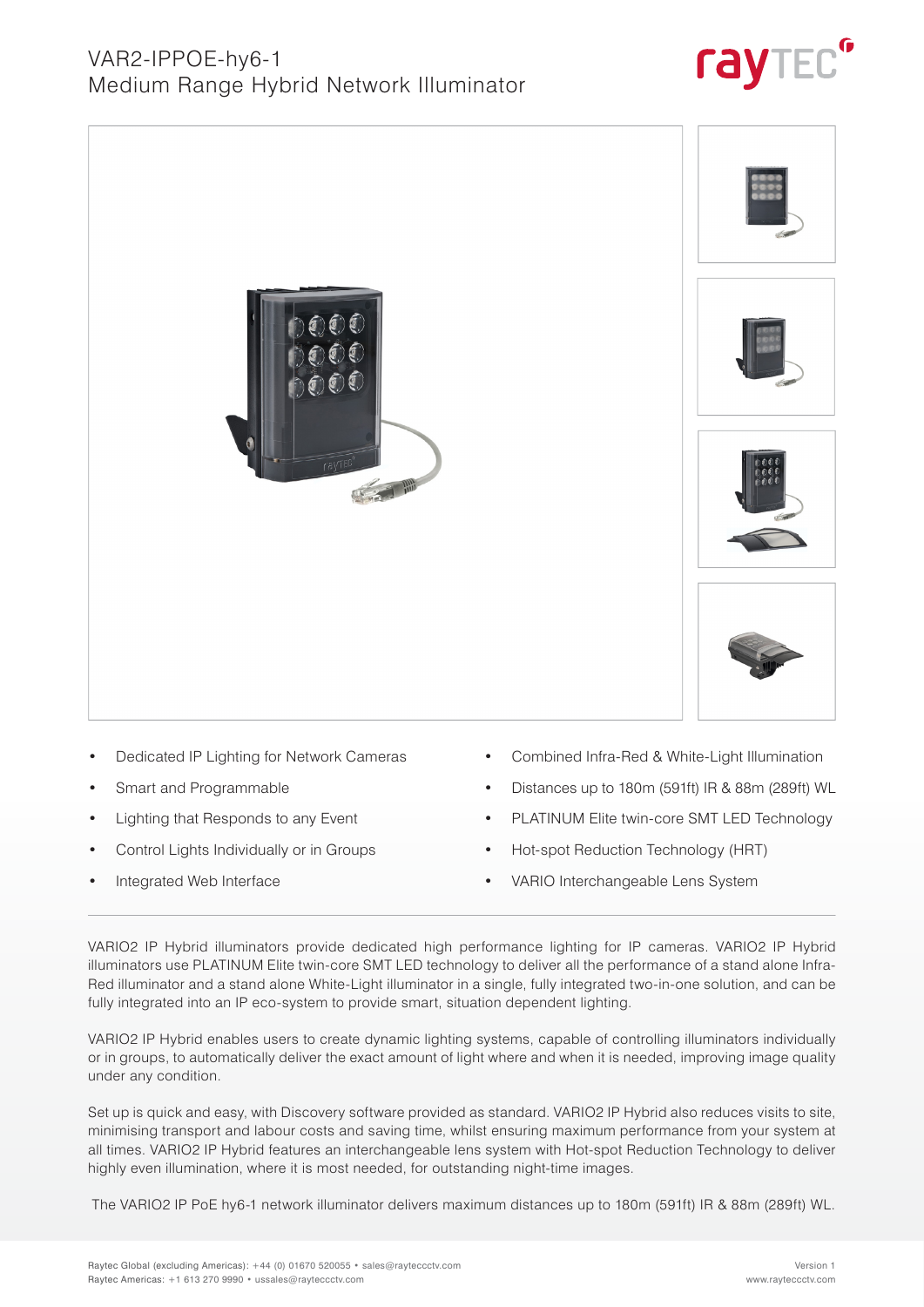## VAR2-IPPOE-hy6-1 Medium Range Hybrid Network Illuminator





- Dedicated IP Lighting for Network Cameras
- Smart and Programmable
- Lighting that Responds to any Event
- Control Lights Individually or in Groups
- Integrated Web Interface
- Combined Infra-Red & White-Light Illumination
- Distances up to 180m (591ft) IR & 88m (289ft) WL
- PLATINUM Elite twin-core SMT LED Technology
- Hot-spot Reduction Technology (HRT)
- VARIO Interchangeable Lens System

VARIO2 IP Hybrid illuminators provide dedicated high performance lighting for IP cameras. VARIO2 IP Hybrid illuminators use PLATINUM Elite twin-core SMT LED technology to deliver all the performance of a stand alone Infra-Red illuminator and a stand alone White-Light illuminator in a single, fully integrated two-in-one solution, and can be fully integrated into an IP eco-system to provide smart, situation dependent lighting.

VARIO2 IP Hybrid enables users to create dynamic lighting systems, capable of controlling illuminators individually or in groups, to automatically deliver the exact amount of light where and when it is needed, improving image quality under any condition.

Set up is quick and easy, with Discovery software provided as standard. VARIO2 IP Hybrid also reduces visits to site, minimising transport and labour costs and saving time, whilst ensuring maximum performance from your system at all times. VARIO2 IP Hybrid features an interchangeable lens system with Hot-spot Reduction Technology to deliver highly even illumination, where it is most needed, for outstanding night-time images.

The VARIO2 IP PoE hy6-1 network illuminator delivers maximum distances up to 180m (591ft) IR & 88m (289ft) WL.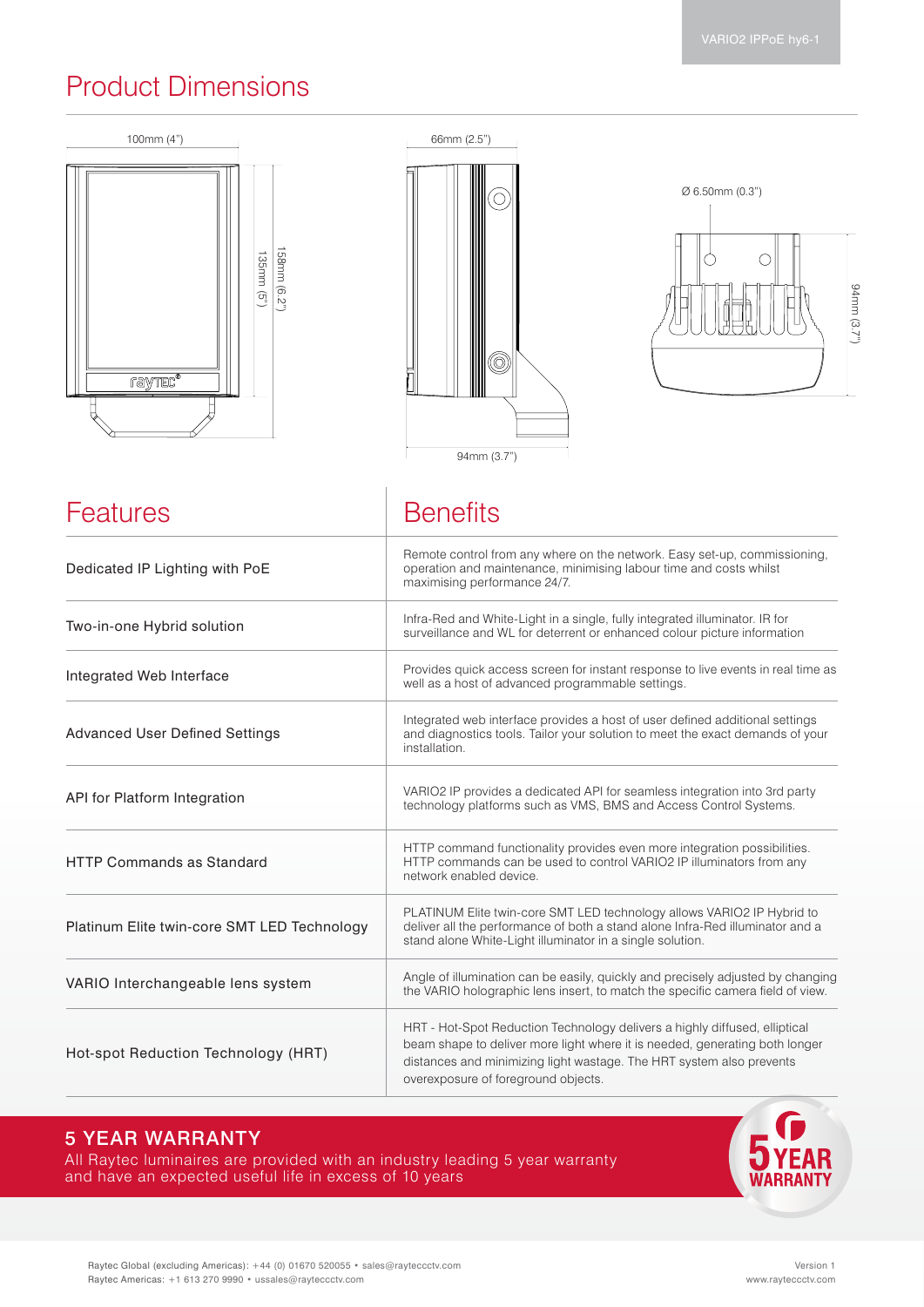## Product Dimensions







| <b>Features</b>                             | <b>Benefits</b>                                                                                                                                                                                                                                                          |
|---------------------------------------------|--------------------------------------------------------------------------------------------------------------------------------------------------------------------------------------------------------------------------------------------------------------------------|
| Dedicated IP Lighting with PoE              | Remote control from any where on the network. Easy set-up, commissioning,<br>operation and maintenance, minimising labour time and costs whilst<br>maximising performance 24/7.                                                                                          |
| Two-in-one Hybrid solution                  | Infra-Red and White-Light in a single, fully integrated illuminator. IR for<br>surveillance and WL for deterrent or enhanced colour picture information                                                                                                                  |
| Integrated Web Interface                    | Provides quick access screen for instant response to live events in real time as<br>well as a host of advanced programmable settings.                                                                                                                                    |
| <b>Advanced User Defined Settings</b>       | Integrated web interface provides a host of user defined additional settings<br>and diagnostics tools. Tailor your solution to meet the exact demands of your<br>installation.                                                                                           |
| API for Platform Integration                | VARIO2 IP provides a dedicated API for seamless integration into 3rd party<br>technology platforms such as VMS, BMS and Access Control Systems.                                                                                                                          |
| <b>HTTP Commands as Standard</b>            | HTTP command functionality provides even more integration possibilities.<br>HTTP commands can be used to control VARIO2 IP illuminators from any<br>network enabled device.                                                                                              |
| Platinum Elite twin-core SMT LED Technology | PLATINUM Elite twin-core SMT LED technology allows VARIO2 IP Hybrid to<br>deliver all the performance of both a stand alone Infra-Red illuminator and a<br>stand alone White-Light illuminator in a single solution.                                                     |
| VARIO Interchangeable lens system           | Angle of illumination can be easily, quickly and precisely adjusted by changing<br>the VARIO holographic lens insert, to match the specific camera field of view.                                                                                                        |
| Hot-spot Reduction Technology (HRT)         | HRT - Hot-Spot Reduction Technology delivers a highly diffused, elliptical<br>beam shape to deliver more light where it is needed, generating both longer<br>distances and minimizing light wastage. The HRT system also prevents<br>overexposure of foreground objects. |

### 5 YEAR WARRANTY

All Raytec luminaires are provided with an industry leading 5 year warranty and have an expected useful life in excess of 10 years